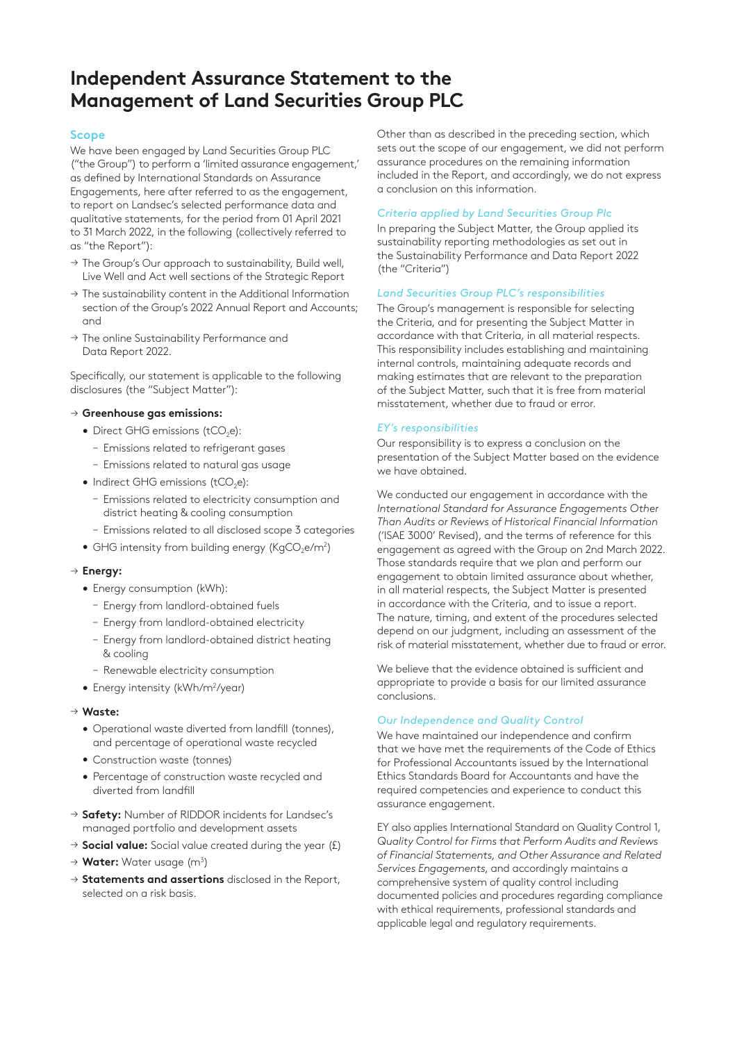# **Independent Assurance Statement to the Management of Land Securities Group PLC**

# **Scope**

We have been engaged by Land Securities Group PLC ("the Group") to perform a 'limited assurance engagement,' as defined by International Standards on Assurance Engagements, here after referred to as the engagement, to report on Landsec's selected performance data and qualitative statements, for the period from 01 April 2021 to 31 March 2022, in the following (collectively referred to as "the Report"):

- → The Group's Our approach to sustainability, Build well, Live Well and Act well sections of the Strategic Report
- $\rightarrow$  The sustainability content in the Additional Information section of the Group's 2022 Annual Report and Accounts; and
- → The online Sustainability Performance and Data Report 2022.

Specifically, our statement is applicable to the following disclosures (the "Subject Matter"):

# → **Greenhouse gas emissions:**

- Direct GHG emissions (tCO<sub>2</sub>e):
	- Emissions related to refrigerant gases
	- Emissions related to natural gas usage
- $\bullet$  Indirect GHG emissions (tCO<sub>2</sub>e):
	- Emissions related to electricity consumption and district heating & cooling consumption
	- Emissions related to all disclosed scope 3 categories
- $\bullet$  GHG intensity from building energy (KgCO<sub>2</sub>e/m<sup>2</sup>)

## → **Energy:**

- Energy consumption (kWh):
	- Energy from landlord-obtained fuels
	- Energy from landlord-obtained electricity
	- Energy from landlord-obtained district heating & cooling
	- Renewable electricity consumption
- Energy intensity (kWh/m<sup>2</sup>/year)

#### → **Waste:**

- Operational waste diverted from landfill (tonnes), and percentage of operational waste recycled
- Construction waste (tonnes)
- Percentage of construction waste recycled and diverted from landfill
- → **Safety:** Number of RIDDOR incidents for Landsec's managed portfolio and development assets
- → **Social value:** Social value created during the year (£)
- → Water: Water usage (m<sup>3</sup>)
- → **Statements and assertions** disclosed in the Report, selected on a risk basis.

Other than as described in the preceding section, which sets out the scope of our engagement, we did not perform assurance procedures on the remaining information included in the Report, and accordingly, we do not express a conclusion on this information.

### *Criteria applied by Land Securities Group Plc*

In preparing the Subject Matter, the Group applied its sustainability reporting methodologies as set out in the Sustainability Performance and Data Report 2022 (the "Criteria")

# *Land Securities Group PLC's responsibilities*

The Group's management is responsible for selecting the Criteria, and for presenting the Subject Matter in accordance with that Criteria, in all material respects. This responsibility includes establishing and maintaining internal controls, maintaining adequate records and making estimates that are relevant to the preparation of the Subject Matter, such that it is free from material misstatement, whether due to fraud or error.

#### *EY's responsibilities*

Our responsibility is to express a conclusion on the presentation of the Subject Matter based on the evidence we have obtained.

We conducted our engagement in accordance with the *International Standard for Assurance Engagements Other Than Audits or Reviews of Historical Financial Information*  ('ISAE 3000' Revised), and the terms of reference for this engagement as agreed with the Group on 2nd March 2022. Those standards require that we plan and perform our engagement to obtain limited assurance about whether, in all material respects, the Subject Matter is presented in accordance with the Criteria, and to issue a report. The nature, timing, and extent of the procedures selected depend on our judgment, including an assessment of the risk of material misstatement, whether due to fraud or error.

We believe that the evidence obtained is sufficient and appropriate to provide a basis for our limited assurance conclusions.

# *Our Independence and Quality Control*

We have maintained our independence and confirm that we have met the requirements of the Code of Ethics for Professional Accountants issued by the International Ethics Standards Board for Accountants and have the required competencies and experience to conduct this assurance engagement.

EY also applies International Standard on Quality Control 1, *Quality Control for Firms that Perform Audits and Reviews of Financial Statements, and Other Assurance and Related Services Engagements*, and accordingly maintains a comprehensive system of quality control including documented policies and procedures regarding compliance with ethical requirements, professional standards and applicable legal and regulatory requirements.